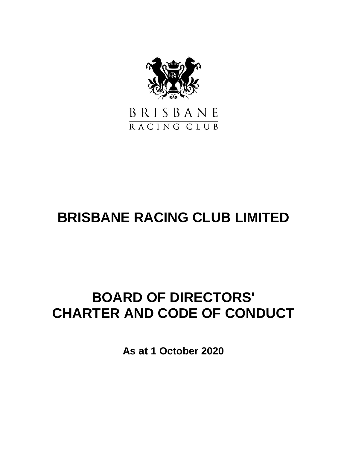

## BRISBANE RACING CLUB

# **BRISBANE RACING CLUB LIMITED**

# **BOARD OF DIRECTORS' CHARTER AND CODE OF CONDUCT**

**As at 1 October 2020**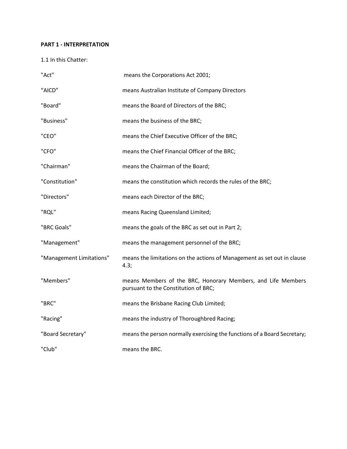### **PART 1 - INTERPRETATION**

1.1 In this Chatter:

| "Act"                    | means the Corporations Act 2001;                                                                     |
|--------------------------|------------------------------------------------------------------------------------------------------|
| "AICD"                   | means Australian Institute of Company Directors                                                      |
| "Board"                  | means the Board of Directors of the BRC;                                                             |
| "Business"               | means the business of the BRC;                                                                       |
| "CEO"                    | means the Chief Executive Officer of the BRC;                                                        |
| "CFO"                    | means the Chief Financial Officer of the BRC;                                                        |
| "Chairman"               | means the Chairman of the Board;                                                                     |
| "Constitution"           | means the constitution which records the rules of the BRC;                                           |
| "Directors"              | means each Director of the BRC;                                                                      |
| "RQL"                    | means Racing Queensland Limited;                                                                     |
| "BRC Goals"              | means the goals of the BRC as set out in Part 2;                                                     |
| "Management"             | means the management personnel of the BRC;                                                           |
| "Management Limitations" | means the limitations on the actions of Management as set out in clause<br>4.3;                      |
| "Members"                | means Members of the BRC, Honorary Members, and Life Members<br>pursuant to the Constitution of BRC; |
| "BRC"                    | means the Brisbane Racing Club Limited;                                                              |
| "Racing"                 | means the industry of Thoroughbred Racing;                                                           |
| "Board Secretary"        | means the person normally exercising the functions of a Board Secretary;                             |
| "Club"                   | means the BRC.                                                                                       |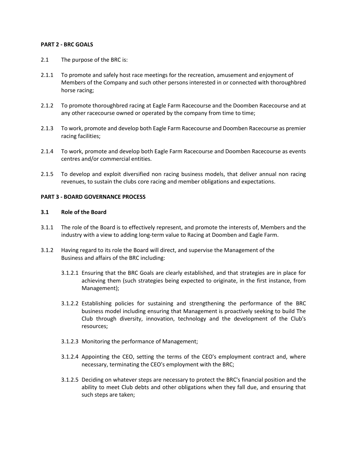#### **PART 2 - BRC GOALS**

- 2.1 The purpose of the BRC is:
- 2.1.1 To promote and safely host race meetings for the recreation, amusement and enjoyment of Members of the Company and such other persons interested in or connected with thoroughbred horse racing;
- 2.1.2 To promote thoroughbred racing at Eagle Farm Racecourse and the Doomben Racecourse and at any other racecourse owned or operated by the company from time to time;
- 2.1.3 To work, promote and develop both Eagle Farm Racecourse and Doomben Racecourse as premier racing facilities;
- 2.1.4 To work, promote and develop both Eagle Farm Racecourse and Doomben Racecourse as events centres and/or commercial entities.
- 2.1.5 To develop and exploit diversified non racing business models, that deliver annual non racing revenues, to sustain the clubs core racing and member obligations and expectations.

### **PART 3 - BOARD GOVERNANCE PROCESS**

#### **3.1 Role of the Board**

- 3.1.1 The role of the Board is to effectively represent, and promote the interests of, Members and the industry with a view to adding long-term value to Racing at Doomben and Eagle Farm.
- 3.1.2 Having regard to its role the Board will direct, and supervise the Management of the Business and affairs of the BRC including:
	- 3.1.2.1 Ensuring that the BRC Goals are clearly established, and that strategies are in place for achieving them (such strategies being expected to originate, in the first instance, from Management);
	- 3.1.2.2 Establishing policies for sustaining and strengthening the performance of the BRC business model including ensuring that Management is proactively seeking to build The Club through diversity, innovation, technology and the development of the Club's resources;
	- 3.1.2.3 Monitoring the performance of Management;
	- 3.1.2.4 Appointing the CEO, setting the terms of the CEO's employment contract and, where necessary, terminating the CEO's employment with the BRC;
	- 3.1.2.5 Deciding on whatever steps are necessary to protect the BRC's financial position and the ability to meet Club debts and other obligations when they fall due, and ensuring that such steps are taken;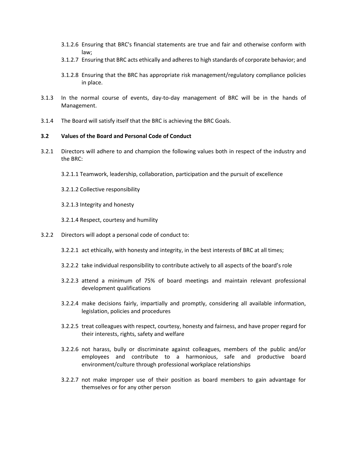- 3.1.2.6 Ensuring that BRC's financial statements are true and fair and otherwise conform with law;
- 3.1.2.7 Ensuring that BRC acts ethically and adheres to high standards of corporate behavior; and
- 3.1.2.8 Ensuring that the BRC has appropriate risk management/regulatory compliance policies in place.
- 3.1.3 In the normal course of events, day-to-day management of BRC will be in the hands of Management.
- 3.1.4 The Board will satisfy itself that the BRC is achieving the BRC Goals.

#### **3.2 Values of the Board and Personal Code of Conduct**

- 3.2.1 Directors will adhere to and champion the following values both in respect of the industry and the BRC:
	- 3.2.1.1 Teamwork, leadership, collaboration, participation and the pursuit of excellence
	- 3.2.1.2 Collective responsibility
	- 3.2.1.3 Integrity and honesty
	- 3.2.1.4 Respect, courtesy and humility
- 3.2.2 Directors will adopt a personal code of conduct to:
	- 3.2.2.1 act ethically, with honesty and integrity, in the best interests of BRC at all times;
	- 3.2.2.2 take individual responsibility to contribute actively to all aspects of the board's role
	- 3.2.2.3 attend a minimum of 75% of board meetings and maintain relevant professional development qualifications
	- 3.2.2.4 make decisions fairly, impartially and promptly, considering all available information, legislation, policies and procedures
	- 3.2.2.5 treat colleagues with respect, courtesy, honesty and fairness, and have proper regard for their interests, rights, safety and welfare
	- 3.2.2.6 not harass, bully or discriminate against colleagues, members of the public and/or employees and contribute to a harmonious, safe and productive board environment/culture through professional workplace relationships
	- 3.2.2.7 not make improper use of their position as board members to gain advantage for themselves or for any other person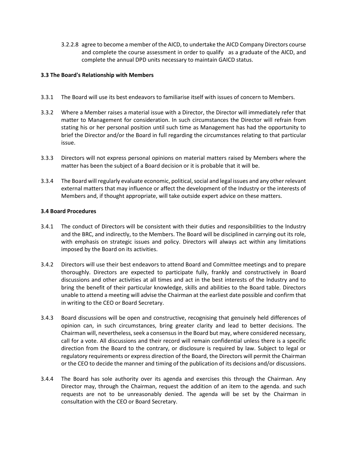3.2.2.8 agree to become a member of the AICD, to undertake the AICD Company Directors course and complete the course assessment in order to qualify as a graduate of the AICD, and complete the annual DPD units necessary to maintain GAICD status.

#### **3.3 The Board's Relationship with Members**

- 3.3.1 The Board will use its best endeavors to familiarise itself with issues of concern to Members.
- 3.3.2 Where a Member raises a material issue with a Director, the Director will immediately refer that matter to Management for consideration. In such circumstances the Director will refrain from stating his or her personal position until such time as Management has had the opportunity to brief the Director and/or the Board in full regarding the circumstances relating to that particular issue.
- 3.3.3 Directors will not express personal opinions on material matters raised by Members where the matter has been the subject of a Board decision or it is probable that it will be.
- 3.3.4 The Board will regularly evaluate economic, political, social and legal issues and any other relevant external matters that may influence or affect the development of the Industry or the interests of Members and, if thought appropriate, will take outside expert advice on these matters.

#### **3.4 Board Procedures**

- 3.4.1 The conduct of Directors will be consistent with their duties and responsibilities to the lndustry and the BRC, and indirectly, to the Members. The Board will be disciplined in carrying out its role, with emphasis on strategic issues and policy. Directors will always act within any limitations imposed by the Board on its activities.
- 3.4.2 Directors will use their best endeavors to attend Board and Committee meetings and to prepare thoroughly. Directors are expected to participate fully, frankly and constructively in Board discussions and other activities at all times and act in the best interests of the lndustry and to bring the benefit of their particular knowledge, skills and abilities to the Board table. Directors unable to attend a meeting will advise the Chairman at the earliest date possible and confirm that in writing to the CEO or Board Secretary.
- 3.4.3 Board discussions will be open and constructive, recognising that genuinely held differences of opinion can, in such circumstances, bring greater clarity and lead to better decisions. The Chairman will, nevertheless, seek a consensus in the Board but may, where considered necessary, call for a vote. All discussions and their record will remain confidential unless there is a specific direction from the Board to the contrary, or disclosure is required by law. Subject to legal or regulatory requirements or express direction of the Board, the Directors will permit the Chairman or the CEO to decide the manner and timing of the publication of its decisions and/or discussions.
- 3.4.4 The Board has sole authority over its agenda and exercises this through the Chairman. Any Director may, through the Chairman, request the addition of an item to the agenda. and such requests are not to be unreasonably denied. The agenda will be set by the Chairman in consultation with the CEO or Board Secretary.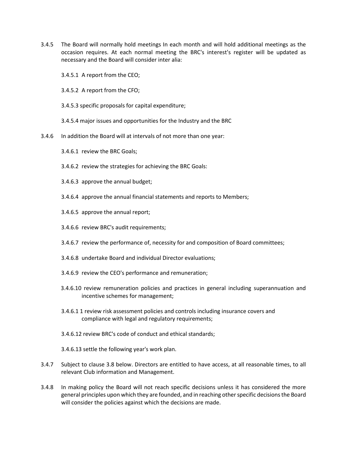3.4.5 The Board will normally hold meetings In each month and will hold additional meetings as the occasion requires. At each normal meeting the BRC's interest's register will be updated as necessary and the Board will consider inter alia:

3.4.5.1 A report from the CEO;

3.4.5.2 A report from the CFO;

- 3.4.5.3 specific proposals for capital expenditure;
- 3.4.5.4 major issues and opportunities for the Industry and the BRC
- 3.4.6 In addition the Board will at intervals of not more than one year:
	- 3.4.6.1 review the BRC Goals;
	- 3.4.6.2 review the strategies for achieving the BRC Goals:
	- 3.4.6.3 approve the annual budget;
	- 3.4.6.4 approve the annual financial statements and reports to Members;
	- 3.4.6.5 approve the annual report;
	- 3.4.6.6 review BRC's audit requirements;
	- 3.4.6.7 review the performance of, necessity for and composition of Board committees;
	- 3.4.6.8 undertake Board and individual Director evaluations;
	- 3.4.6.9 review the CEO's performance and remuneration;
	- 3.4.6.10 review remuneration policies and practices in general including superannuation and incentive schemes for management;
	- 3.4.6.1 1 review risk assessment policies and controls including insurance covers and compliance with legal and regulatory requirements;
	- 3.4.6.12 review BRC's code of conduct and ethical standards;
	- 3.4.6.13 settle the following year's work plan.
- 3.4.7 Subject to clause 3.8 below. Directors are entitled to have access, at all reasonable times, to all relevant Club information and Management.
- 3.4.8 In making policy the Board will not reach specific decisions unless it has considered the more general principles upon which they are founded, and in reaching other specific decisions the Board will consider the policies against which the decisions are made.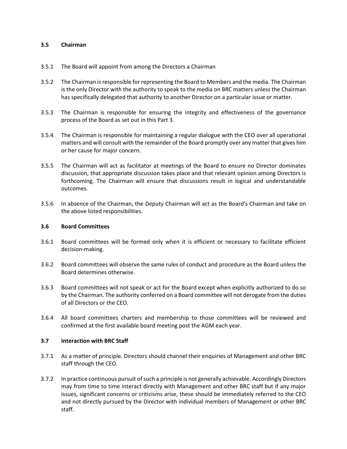#### **3.5 Chairman**

- 3.5.1 The Board will appoint from among the Directors a Chairman
- 3.5.2 The Chairman is responsible for representing the Board to Members and the media. The Chairman is the only Director with the authority to speak to the media on BRC matters unless the Chairman has specifically delegated that authority to another Director on a particular issue or matter.
- 3.5.3 The Chairman is responsible for ensuring the integrity and effectiveness of the governance process of the Board as set out in this Part 3.
- 3.5.4 The Chairman is responsible for maintaining a regular dialogue with the CEO over all operational matters and will consult with the remainder of the Board promptly over any matter that gives him or her cause for major concern.
- 3.5.5 The Chairman will act as facilitator at meetings of the Board to ensure no Director dominates discussion, that appropriate discussion takes place and that relevant opinion among Directors is forthcoming. The Chairman will ensure that discussions result in logical and understandable outcomes.
- 3.5.6 In absence of the Chairman, the Deputy Chairman will act as the Board's Chairman and take on the above listed responsibilities.

#### **3.6 Board Committees**

- 3.6.1 Board committees will be formed only when it is efficient or necessary to facilitate efficient decision-making.
- 3.6.2 Board committees will observe the same rules of conduct and procedure as the Board unless the Board determines otherwise.
- 3.6.3 Board committees will not speak or act for the Board except when explicitly authorized to do so by the Chairman. The authority conferred on a Board committee will not derogate from the duties of all Directors or the CEO.
- 3.6.4 All board committees charters and membership to those committees will be reviewed and confirmed at the first available board meeting post the AGM each year.

#### **3.7 Interaction with BRC Staff**

- 3.7.1 As a matter of principle. Directors should channel their enquiries of Management and other BRC staff through the CEO.
- 3.7.2 In practice continuous pursuit of such a principle is not generally achievable. Accordingly Directors may from time to time interact directly with Management and other BRC staff but if any major issues, significant concerns or criticisms arise, these should be immediately referred to the CEO and not directly pursued by the Director with individual members of Management or other BRC staff.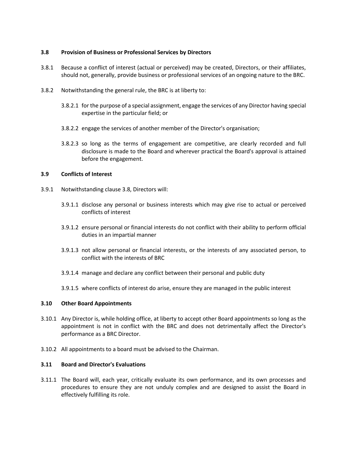#### **3.8 Provision of Business or Professional Services by Directors**

- 3.8.1 Because a conflict of interest (actual or perceived) may be created, Directors, or their affiliates, should not, generally, provide business or professional services of an ongoing nature to the BRC.
- 3.8.2 Notwithstanding the general rule, the BRC is at liberty to:
	- 3.8.2.1 for the purpose of a special assignment, engage the services of any Director having special expertise in the particular field; or
	- 3.8.2.2 engage the services of another member of the Director's organisation;
	- 3.8.2.3 so long as the terms of engagement are competitive, are clearly recorded and full disclosure is made to the Board and wherever practical the Board's approval is attained before the engagement.

#### **3.9 Conflicts of Interest**

- 3.9.1 Notwithstanding clause 3.8, Directors will:
	- 3.9.1.1 disclose any personal or business interests which may give rise to actual or perceived conflicts of interest
	- 3.9.1.2 ensure personal or financial interests do not conflict with their ability to perform official duties in an impartial manner
	- 3.9.1.3 not allow personal or financial interests, or the interests of any associated person, to conflict with the interests of BRC
	- 3.9.1.4 manage and declare any conflict between their personal and public duty
	- 3.9.1.5 where conflicts of interest do arise, ensure they are managed in the public interest

#### **3.10 Other Board Appointments**

- 3.10.1 Any Director is, while holding office, at liberty to accept other Board appointments so long as the appointment is not in conflict with the BRC and does not detrimentally affect the Director's performance as a BRC Director.
- 3.10.2 All appointments to a board must be advised to the Chairman.

#### **3.11 Board and Director's Evaluations**

3.11.1 The Board will, each year, critically evaluate its own performance, and its own processes and procedures to ensure they are not unduly complex and are designed to assist the Board in effectively fulfilling its role.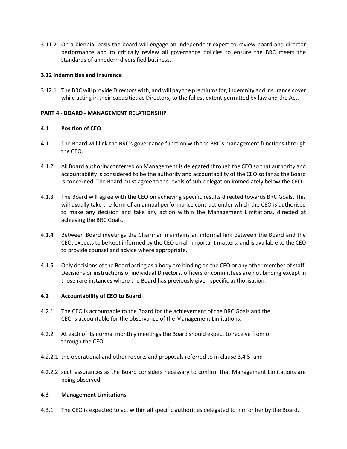3.11.2 On a biennial basis the board will engage an independent expert to review board and director performance and to critically review all governance policies to ensure the BRC meets the standards of a modern diversified business.

#### **3.12 Indemnities and Insurance**

3.12.1 The BRC will provide Directors with, and will pay the premiums for, indemnity and insurance cover while acting in their capacities as Directors, to the fullest extent permitted by law and the Act.

#### **PART 4 - BOARD - MANAGEMENT RELATIONSHIP**

#### **4.1 Position of CEO**

- 4.1.1 The Board will link the BRC's governance function with the BRC's management functions through the CEO.
- 4.1.2 All Board authority conferred on Management is delegated through the CEO so that authority and accountability is considered to be the authority and accountability of the CEO so far as the Board is concerned. The Board must agree to the levels of sub-delegation immediately below the CEO.
- 4.1.3 The Board will agree with the CEO on achieving specific results directed towards BRC Goals. This will usually take the form of an annual performance contract under which the CEO is authorised to make any decision and take any action within the Management Limitations, directed at achieving the BRC Goals.
- 4.1.4 Between Board meetings the Chairman maintains an informal link between the Board and the CEO, expects to be kept informed by the CEO on all important matters. and is available to the CEO to provide counsel and advice where appropriate.
- 4.1.5 Only decisions of the Board acting as a body are binding on the CEO or any other member of staff. Decisions or instructions of individual Directors, officers or committees are not binding except in those rare instances where the Board has previously given specific authorisation.

#### **4.2 Accountability of CEO to Board**

- 4.2.1 The CEO is accountable to the Board for the achievement of the BRC Goals and the CEO is accountable for the observance of the Management Limitations.
- 4.2.2 At each of its normal monthly meetings the Board should expect to receive from or through the CEO:
- 4.2.2.1 the operational and other reports and proposals referred to in clause 3.4.5; and
- 4.2.2.2 such assurances as the Board considers necessary to confirm that Management Limitations are being observed.

#### **4.3 Management Limitations**

4.3.1 The CEO is expected to act within all specific authorities delegated to him or her by the Board.